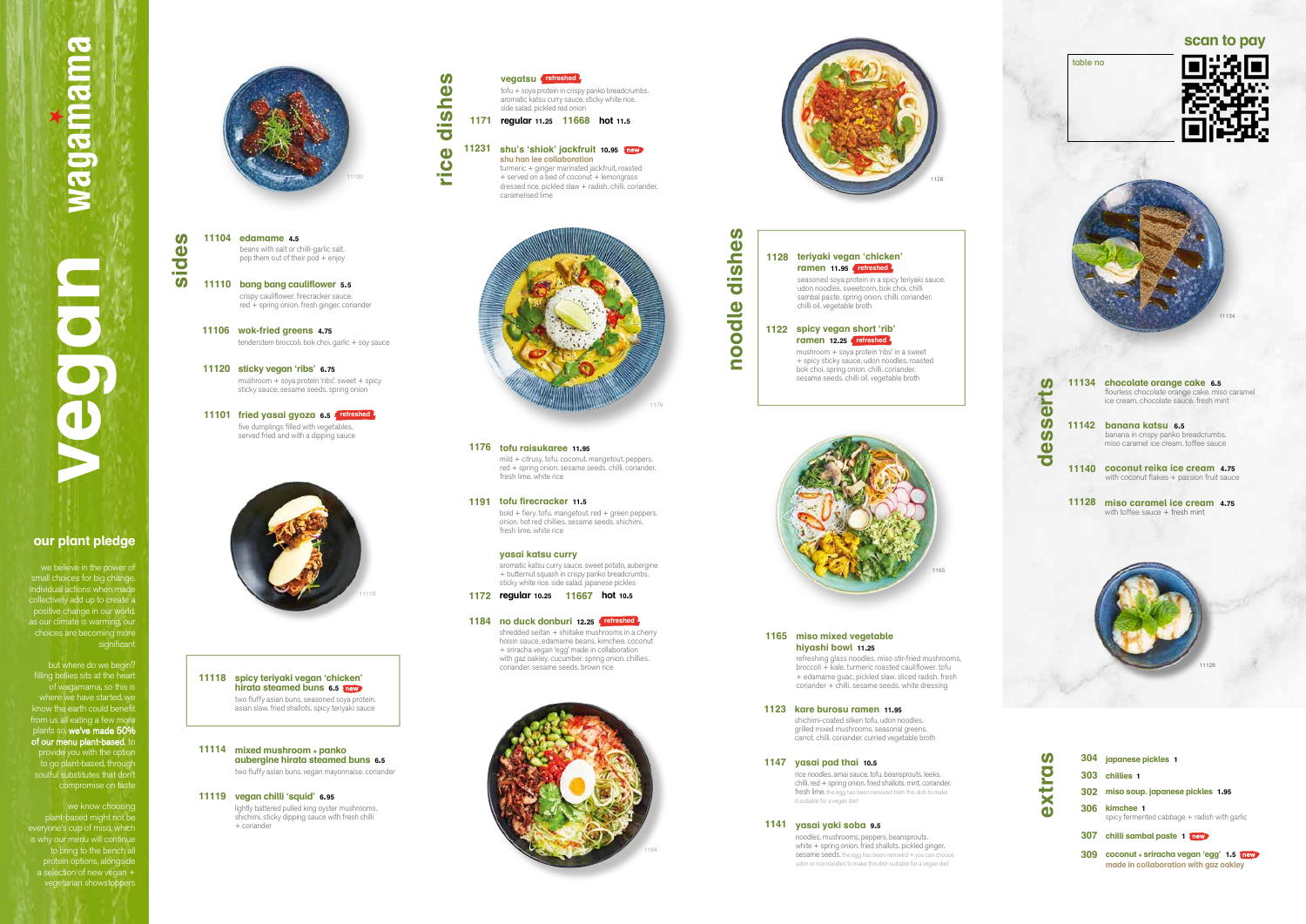| ť<br>$\bullet$               | 11134 | chocolate orange cake 6.5<br>flourless chocolate orange cake. miso caramel<br>ice cream. chocolate sauce. fresh mint |
|------------------------------|-------|----------------------------------------------------------------------------------------------------------------------|
| $\boldsymbol{\omega}$<br>des | 11142 | banana katsu 6.5<br>banana in crispy panko breadcrumbs.<br>miso caramel ice cream. toffee sauce                      |
|                              |       | 11140 coconut reika ice cream 4.75<br>with coconut flakes + passion fruit sauce                                      |
|                              | 11128 | miso caramel ice cream<br>4.75<br>with toffee sauce + fresh mint                                                     |



## magamama **NRODOS**

**sides**

**sticky vegan 'ribs' 6.75 11120** mushroom + soya protein 'ribs'. sweet + spicy sticky sauce. sesame seeds. spring onion



**vegan chilli 'squid' 6.95 11119**

lightly battered pulled king oyster mushrooms. shichimi. sticky dipping sauce with fresh chilli + coriander

## **mixed mushroom + panko 11114 aubergine hirata steamed buns 6.5** two fluffy asian buns. vegan mayonnaise. coriander

**spicy teriyaki vegan 'chicken' 11118 hirata steamed buns 6.5** two fluffy asian buns. seasoned soya protein. asian slaw. fried shallots. spicy teriyaki sauce

**edamame 4.5 11104** beans with salt or chilli-garlic salt. pop them out of their pod + enjoy

> shredded seitan + shiitake mushrooms in a cherry hoisin sauce. edamame beans. kimchee. coconut + sriracha vegan 'egg' made in collaboration with gaz oakley. cucumber. spring onion. chillies. coriander. sesame seeds. brown rice

**bang bang cauliflower 5.5 11110** crispy cauliflower. firecracker sauce. red + spring onion. fresh ginger. coriander

**wok-fried greens 4.75 11106** tenderstem broccoli. bok choi. garlic + soy sauce

**fried yasai gyoza 6.5 11101 refreshed** five dumplings filled with vegetables. served fried and with a dipping sauce



**yasai katsu curry** aromatic katsu curry sauce. sweet potato, aubergine + butternut squash in crispy panko breadcrumbs. sticky white rice. side salad. japanese pickles

## **1172 regular 10.25 11667 hot 10.5**

**tofu raisukaree 11.95 1176**

mild + citrusy. tofu. coconut. mangetout. peppers. red + spring onion. sesame seeds. chilli. coriander. fresh lime. white rice

## **tofu firecracker 11.5 1191**

bold + fiery. tofu. mangetout. red + green peppers. onion. hot red chillies. sesame seeds. shichimi. fresh lime. white rice





tofu + soya protein in crispy panko breadcrumbs. aromatic katsu curry sauce. sticky white rice.



side salad. pickled red onion **1171 regular 11.25 11668 hot 11.5** shu's 'shiok' jackfruit 10.95 Thew **shu han lee collaboration**

turmeric + ginger marinated jackfruit, roasted + served on a bed of coconut + lemongrass dressed rice. pickled slaw + radish. chilli. coriander. caramelised lime

## **kare burosu ramen 11.95 1123**

shichimi-coated silken tofu. udon noodles. grilled mixed mushrooms. seasonal greens. carrot. chilli. coriander. curried vegetable broth

## **yasai yaki soba 9.5 1141**

noodles. mushrooms. peppers. beansprouts. white + spring onion. fried shallots. pickled ginger. sesame seeds. the egg has been removed + you can choose udon or rice noodles to make this dish suitable for a vegan diet

## **yasai pad thai 10.5 1147**

rice noodles. amai sauce. tofu. beansprouts. leeks. chilli. red + spring onion. fried shallots. mint. coriander. fresh lime. the egg has been removed from this dish to make it suitable for a vegan diet

## **miso mixed vegetable 1165 hiyashi bowl 11.25**

refreshing glass noodles. miso stir-fried mushrooms, broccoli + kale. turmeric roasted cauliflower. tofu + edamame guac. pickled slaw. sliced radish. fresh coriander + chilli. sesame seeds. white dressing

**vegatsu refreshed**

**noodle dishes**

noodle

dishe

 $\boldsymbol{\omega}$ 

**no duck donburi 12.25 1184 refreshed**

**ramen 12.25 refreshed**mushroom + soya protein 'ribs' in a sweet + spicy sticky sauce. udon noodles. roasted bok choi. spring onion. chilli. coriander. sesame seeds. chilli oil. vegetable broth

## **spicy vegan short 'rib' 1122 teriyaki vegan 'chicken' 1128 ramen 11.95 refreshed** seasoned soya protein in a spicy teriyaki sauce. udon noodles. sweetcorn. bok choi. chilli sambal paste. spring onion. chilli. coriander. chilli oil. vegetable broth



| 304 japanese pickles 1                                                             |  |  |
|------------------------------------------------------------------------------------|--|--|
| 303 chillies 1                                                                     |  |  |
| 302 miso soup. japanese pickles 1.95                                               |  |  |
| 306 kimchee 1<br>spicy fermented cabbage + radish with garlic                      |  |  |
| 307 chilli sambal paste 1 Them                                                     |  |  |
| 309 coconut + sriracha vegan 'egg' 1.5 Th<br>made in collaboration with gaz oakley |  |  |



## **our plant pledge**

we believe in the power of small choices for big change. individual actions when made collectively add up to create a positive change in our world. as our climate is warming, our choices are becoming more significant

but where do we begin? filling bellies sits at the heart of wagamama, so this is where we have started. we know the earth could benefit from us all eating a few more plants so, we've made 50% of our menu plant-based, to provide you with the option to go plant-based, through soulful substitutes that don't compromise on taste

we know choosing

plant-based might not be everyone's cup of miso, which is why our menu will continue to bring to the bench all protein options, alongside a selection of new vegan + vegetarian showstoppers